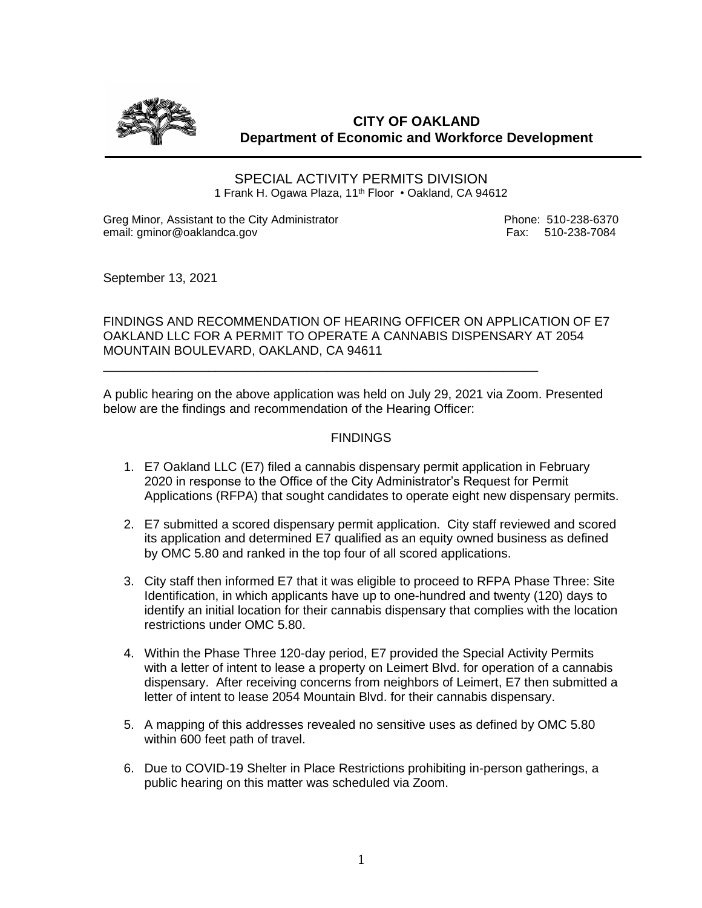

**CITY OF OAKLAND Department of Economic and Workforce Development**

SPECIAL ACTIVITY PERMITS DIVISION 1 Frank H. Ogawa Plaza, 11<sup>th</sup> Floor • Oakland, CA 94612

Greg Minor, Assistant to the City Administrator **Phone: 510-238-6370** email: gminor@oaklandca.gov email: gminor@oaklandca.gov

September 13, 2021

FINDINGS AND RECOMMENDATION OF HEARING OFFICER ON APPLICATION OF E7 OAKLAND LLC FOR A PERMIT TO OPERATE A CANNABIS DISPENSARY AT 2054 MOUNTAIN BOULEVARD, OAKLAND, CA 94611

A public hearing on the above application was held on July 29, 2021 via Zoom. Presented below are the findings and recommendation of the Hearing Officer:

\_\_\_\_\_\_\_\_\_\_\_\_\_\_\_\_\_\_\_\_\_\_\_\_\_\_\_\_\_\_\_\_\_\_\_\_\_\_\_\_\_\_\_\_\_\_\_\_\_\_\_\_\_\_\_\_\_\_\_\_\_\_

### **FINDINGS**

- 1. E7 Oakland LLC (E7) filed a cannabis dispensary permit application in February 2020 in response to the Office of the City Administrator's Request for Permit Applications (RFPA) that sought candidates to operate eight new dispensary permits.
- 2. E7 submitted a scored dispensary permit application. City staff reviewed and scored its application and determined E7 qualified as an equity owned business as defined by OMC 5.80 and ranked in the top four of all scored applications.
- 3. City staff then informed E7 that it was eligible to proceed to RFPA Phase Three: Site Identification, in which applicants have up to one-hundred and twenty (120) days to identify an initial location for their cannabis dispensary that complies with the location restrictions under OMC 5.80.
- 4. Within the Phase Three 120-day period, E7 provided the Special Activity Permits with a letter of intent to lease a property on Leimert Blvd. for operation of a cannabis dispensary. After receiving concerns from neighbors of Leimert, E7 then submitted a letter of intent to lease 2054 Mountain Blvd. for their cannabis dispensary.
- 5. A mapping of this addresses revealed no sensitive uses as defined by OMC 5.80 within 600 feet path of travel.
- 6. Due to COVID-19 Shelter in Place Restrictions prohibiting in-person gatherings, a public hearing on this matter was scheduled via Zoom.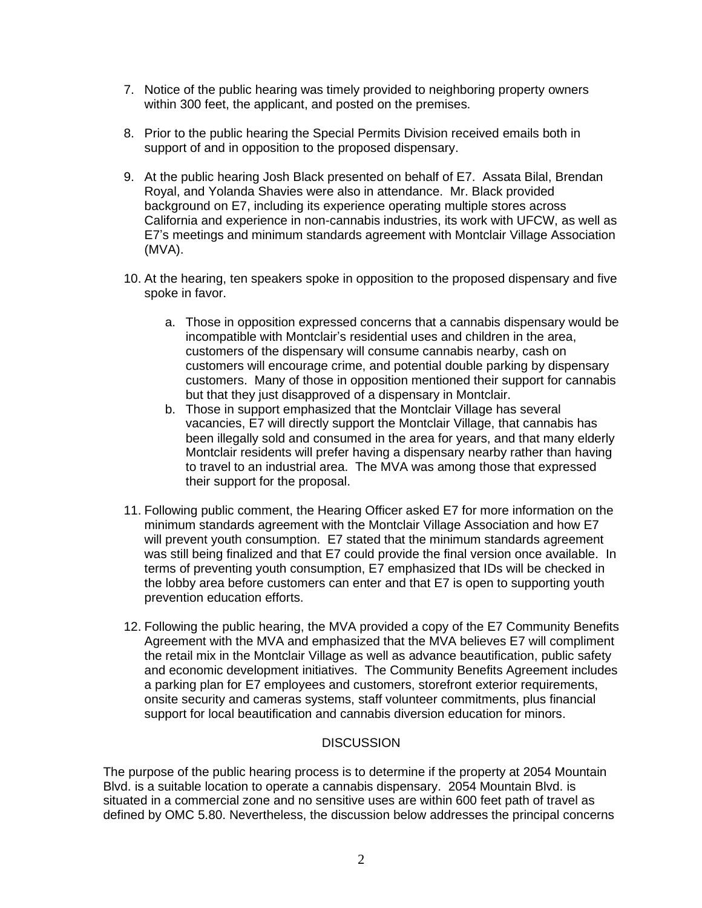- 7. Notice of the public hearing was timely provided to neighboring property owners within 300 feet, the applicant, and posted on the premises.
- 8. Prior to the public hearing the Special Permits Division received emails both in support of and in opposition to the proposed dispensary.
- 9. At the public hearing Josh Black presented on behalf of E7. Assata Bilal, Brendan Royal, and Yolanda Shavies were also in attendance. Mr. Black provided background on E7, including its experience operating multiple stores across California and experience in non-cannabis industries, its work with UFCW, as well as E7's meetings and minimum standards agreement with Montclair Village Association (MVA).
- 10. At the hearing, ten speakers spoke in opposition to the proposed dispensary and five spoke in favor.
	- a. Those in opposition expressed concerns that a cannabis dispensary would be incompatible with Montclair's residential uses and children in the area, customers of the dispensary will consume cannabis nearby, cash on customers will encourage crime, and potential double parking by dispensary customers. Many of those in opposition mentioned their support for cannabis but that they just disapproved of a dispensary in Montclair.
	- b. Those in support emphasized that the Montclair Village has several vacancies, E7 will directly support the Montclair Village, that cannabis has been illegally sold and consumed in the area for years, and that many elderly Montclair residents will prefer having a dispensary nearby rather than having to travel to an industrial area. The MVA was among those that expressed their support for the proposal.
- 11. Following public comment, the Hearing Officer asked E7 for more information on the minimum standards agreement with the Montclair Village Association and how E7 will prevent youth consumption. E7 stated that the minimum standards agreement was still being finalized and that E7 could provide the final version once available. In terms of preventing youth consumption, E7 emphasized that IDs will be checked in the lobby area before customers can enter and that E7 is open to supporting youth prevention education efforts.
- 12. Following the public hearing, the MVA provided a copy of the E7 Community Benefits Agreement with the MVA and emphasized that the MVA believes E7 will compliment the retail mix in the Montclair Village as well as advance beautification, public safety and economic development initiatives. The Community Benefits Agreement includes a parking plan for E7 employees and customers, storefront exterior requirements, onsite security and cameras systems, staff volunteer commitments, plus financial support for local beautification and cannabis diversion education for minors.

# **DISCUSSION**

The purpose of the public hearing process is to determine if the property at 2054 Mountain Blvd. is a suitable location to operate a cannabis dispensary. 2054 Mountain Blvd. is situated in a commercial zone and no sensitive uses are within 600 feet path of travel as defined by OMC 5.80. Nevertheless, the discussion below addresses the principal concerns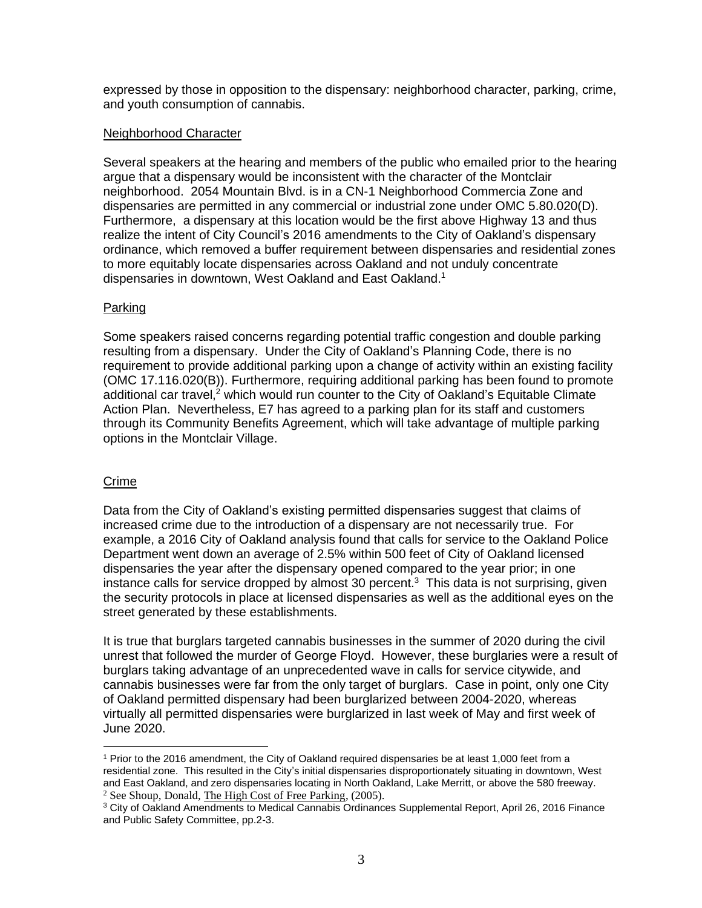expressed by those in opposition to the dispensary: neighborhood character, parking, crime, and youth consumption of cannabis.

### Neighborhood Character

Several speakers at the hearing and members of the public who emailed prior to the hearing argue that a dispensary would be inconsistent with the character of the Montclair neighborhood. 2054 Mountain Blvd. is in a CN-1 Neighborhood Commercia Zone and dispensaries are permitted in any commercial or industrial zone under OMC 5.80.020(D). Furthermore, a dispensary at this location would be the first above Highway 13 and thus realize the intent of City Council's 2016 amendments to the City of Oakland's dispensary ordinance, which removed a buffer requirement between dispensaries and residential zones to more equitably locate dispensaries across Oakland and not unduly concentrate dispensaries in downtown, West Oakland and East Oakland.<sup>1</sup>

# Parking

Some speakers raised concerns regarding potential traffic congestion and double parking resulting from a dispensary. Under the City of Oakland's Planning Code, there is no requirement to provide additional parking upon a change of activity within an existing facility (OMC 17.116.020(B)). Furthermore, requiring additional parking has been found to promote additional car travel,<sup>2</sup> which would run counter to the City of Oakland's Equitable Climate Action Plan. Nevertheless, E7 has agreed to a parking plan for its staff and customers through its Community Benefits Agreement, which will take advantage of multiple parking options in the Montclair Village.

# Crime

Data from the City of Oakland's existing permitted dispensaries suggest that claims of increased crime due to the introduction of a dispensary are not necessarily true. For example, a 2016 City of Oakland analysis found that calls for service to the Oakland Police Department went down an average of 2.5% within 500 feet of City of Oakland licensed dispensaries the year after the dispensary opened compared to the year prior; in one instance calls for service dropped by almost 30 percent. $3$  This data is not surprising, given the security protocols in place at licensed dispensaries as well as the additional eyes on the street generated by these establishments.

It is true that burglars targeted cannabis businesses in the summer of 2020 during the civil unrest that followed the murder of George Floyd. However, these burglaries were a result of burglars taking advantage of an unprecedented wave in calls for service citywide, and cannabis businesses were far from the only target of burglars. Case in point, only one City of Oakland permitted dispensary had been burglarized between 2004-2020, whereas virtually all permitted dispensaries were burglarized in last week of May and first week of June 2020.

<sup>1</sup> Prior to the 2016 amendment, the City of Oakland required dispensaries be at least 1,000 feet from a residential zone. This resulted in the City's initial dispensaries disproportionately situating in downtown, West and East Oakland, and zero dispensaries locating in North Oakland, Lake Merritt, or above the 580 freeway. <sup>2</sup> See Shoup, Donald, The High Cost of Free Parking, (2005).

<sup>3</sup> City of Oakland Amendments to Medical Cannabis Ordinances Supplemental Report, April 26, 2016 Finance and Public Safety Committee, pp.2-3.